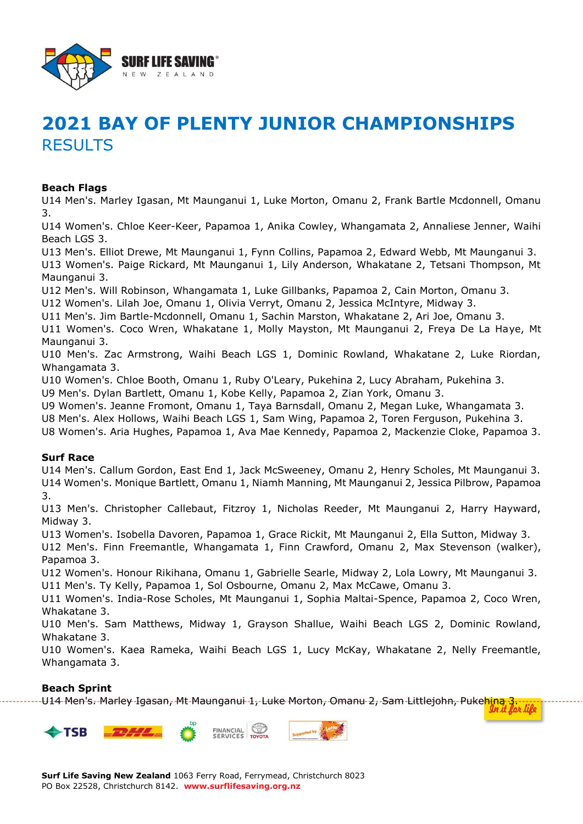

# **2021 BAY OF PLENTY JUNIOR CHAMPIONSHIPS RESULTS**

#### **Beach Flags**

U14 Men's. Marley Igasan, Mt Maunganui 1, Luke Morton, Omanu 2, Frank Bartle Mcdonnell, Omanu 3.

U14 Women's. Chloe Keer-Keer, Papamoa 1, Anika Cowley, Whangamata 2, Annaliese Jenner, Waihi Beach LGS 3.

U13 Men's. Elliot Drewe, Mt Maunganui 1, Fynn Collins, Papamoa 2, Edward Webb, Mt Maunganui 3.

U13 Women's. Paige Rickard, Mt Maunganui 1, Lily Anderson, Whakatane 2, Tetsani Thompson, Mt Maunganui 3.

U12 Men's. Will Robinson, Whangamata 1, Luke Gillbanks, Papamoa 2, Cain Morton, Omanu 3.

U12 Women's. Lilah Joe, Omanu 1, Olivia Verryt, Omanu 2, Jessica McIntyre, Midway 3.

U11 Men's. Jim Bartle-Mcdonnell, Omanu 1, Sachin Marston, Whakatane 2, Ari Joe, Omanu 3.

U11 Women's. Coco Wren, Whakatane 1, Molly Mayston, Mt Maunganui 2, Freya De La Haye, Mt Maunganui 3.

U10 Men's. Zac Armstrong, Waihi Beach LGS 1, Dominic Rowland, Whakatane 2, Luke Riordan, Whangamata 3.

U10 Women's. Chloe Booth, Omanu 1, Ruby O'Leary, Pukehina 2, Lucy Abraham, Pukehina 3.

U9 Men's. Dylan Bartlett, Omanu 1, Kobe Kelly, Papamoa 2, Zian York, Omanu 3.

U9 Women's. Jeanne Fromont, Omanu 1, Taya Barnsdall, Omanu 2, Megan Luke, Whangamata 3.

U8 Men's. Alex Hollows, Waihi Beach LGS 1, Sam Wing, Papamoa 2, Toren Ferguson, Pukehina 3.

U8 Women's. Aria Hughes, Papamoa 1, Ava Mae Kennedy, Papamoa 2, Mackenzie Cloke, Papamoa 3.

#### **Surf Race**

U14 Men's. Callum Gordon, East End 1, Jack McSweeney, Omanu 2, Henry Scholes, Mt Maunganui 3. U14 Women's. Monique Bartlett, Omanu 1, Niamh Manning, Mt Maunganui 2, Jessica Pilbrow, Papamoa 3.

U13 Men's. Christopher Callebaut, Fitzroy 1, Nicholas Reeder, Mt Maunganui 2, Harry Hayward, Midway 3.

U13 Women's. Isobella Davoren, Papamoa 1, Grace Rickit, Mt Maunganui 2, Ella Sutton, Midway 3.

U12 Men's. Finn Freemantle, Whangamata 1, Finn Crawford, Omanu 2, Max Stevenson (walker), Papamoa 3.

U12 Women's. Honour Rikihana, Omanu 1, Gabrielle Searle, Midway 2, Lola Lowry, Mt Maunganui 3. U11 Men's. Ty Kelly, Papamoa 1, Sol Osbourne, Omanu 2, Max McCawe, Omanu 3.

U11 Women's. India-Rose Scholes, Mt Maunganui 1, Sophia Maltai-Spence, Papamoa 2, Coco Wren, Whakatane 3.

U10 Men's. Sam Matthews, Midway 1, Grayson Shallue, Waihi Beach LGS 2, Dominic Rowland, Whakatane 3.

U10 Women's. Kaea Rameka, Waihi Beach LGS 1, Lucy McKay, Whakatane 2, Nelly Freemantle, Whangamata 3.

#### **Beach Sprint**

المسبوعية السابعية ------<br>U14 Men's. Marley Igasan, Mt Maunganui 1, Luke Morton, Omanu 2, Sam Littlejohn, Puke<mark>hina 3.</mark>

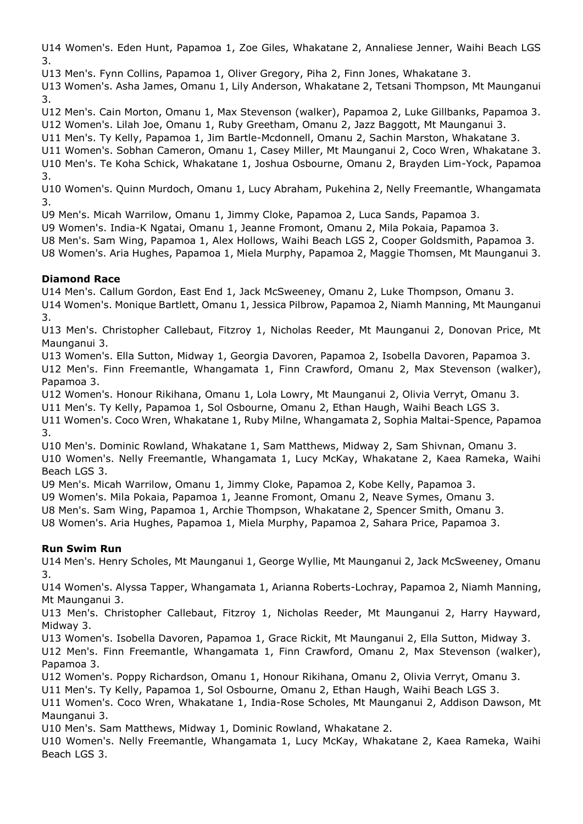U14 Women's. Eden Hunt, Papamoa 1, Zoe Giles, Whakatane 2, Annaliese Jenner, Waihi Beach LGS 3.

U13 Men's. Fynn Collins, Papamoa 1, Oliver Gregory, Piha 2, Finn Jones, Whakatane 3.

U13 Women's. Asha James, Omanu 1, Lily Anderson, Whakatane 2, Tetsani Thompson, Mt Maunganui 3.

U12 Men's. Cain Morton, Omanu 1, Max Stevenson (walker), Papamoa 2, Luke Gillbanks, Papamoa 3. U12 Women's. Lilah Joe, Omanu 1, Ruby Greetham, Omanu 2, Jazz Baggott, Mt Maunganui 3.

U11 Men's. Ty Kelly, Papamoa 1, Jim Bartle-Mcdonnell, Omanu 2, Sachin Marston, Whakatane 3.

U11 Women's. Sobhan Cameron, Omanu 1, Casey Miller, Mt Maunganui 2, Coco Wren, Whakatane 3. U10 Men's. Te Koha Schick, Whakatane 1, Joshua Osbourne, Omanu 2, Brayden Lim-Yock, Papamoa 3.

U10 Women's. Quinn Murdoch, Omanu 1, Lucy Abraham, Pukehina 2, Nelly Freemantle, Whangamata 3.

U9 Men's. Micah Warrilow, Omanu 1, Jimmy Cloke, Papamoa 2, Luca Sands, Papamoa 3.

U9 Women's. India-K Ngatai, Omanu 1, Jeanne Fromont, Omanu 2, Mila Pokaia, Papamoa 3.

U8 Men's. Sam Wing, Papamoa 1, Alex Hollows, Waihi Beach LGS 2, Cooper Goldsmith, Papamoa 3.

U8 Women's. Aria Hughes, Papamoa 1, Miela Murphy, Papamoa 2, Maggie Thomsen, Mt Maunganui 3.

# **Diamond Race**

U14 Men's. Callum Gordon, East End 1, Jack McSweeney, Omanu 2, Luke Thompson, Omanu 3. U14 Women's. Monique Bartlett, Omanu 1, Jessica Pilbrow, Papamoa 2, Niamh Manning, Mt Maunganui 3.

U13 Men's. Christopher Callebaut, Fitzroy 1, Nicholas Reeder, Mt Maunganui 2, Donovan Price, Mt Maunganui 3.

U13 Women's. Ella Sutton, Midway 1, Georgia Davoren, Papamoa 2, Isobella Davoren, Papamoa 3. U12 Men's. Finn Freemantle, Whangamata 1, Finn Crawford, Omanu 2, Max Stevenson (walker), Papamoa 3.

U12 Women's. Honour Rikihana, Omanu 1, Lola Lowry, Mt Maunganui 2, Olivia Verryt, Omanu 3.

U11 Men's. Ty Kelly, Papamoa 1, Sol Osbourne, Omanu 2, Ethan Haugh, Waihi Beach LGS 3.

U11 Women's. Coco Wren, Whakatane 1, Ruby Milne, Whangamata 2, Sophia Maltai-Spence, Papamoa 3.

U10 Men's. Dominic Rowland, Whakatane 1, Sam Matthews, Midway 2, Sam Shivnan, Omanu 3.

U10 Women's. Nelly Freemantle, Whangamata 1, Lucy McKay, Whakatane 2, Kaea Rameka, Waihi Beach LGS 3.

U9 Men's. Micah Warrilow, Omanu 1, Jimmy Cloke, Papamoa 2, Kobe Kelly, Papamoa 3.

U9 Women's. Mila Pokaia, Papamoa 1, Jeanne Fromont, Omanu 2, Neave Symes, Omanu 3.

U8 Men's. Sam Wing, Papamoa 1, Archie Thompson, Whakatane 2, Spencer Smith, Omanu 3.

U8 Women's. Aria Hughes, Papamoa 1, Miela Murphy, Papamoa 2, Sahara Price, Papamoa 3.

# **Run Swim Run**

U14 Men's. Henry Scholes, Mt Maunganui 1, George Wyllie, Mt Maunganui 2, Jack McSweeney, Omanu 3.

U14 Women's. Alyssa Tapper, Whangamata 1, Arianna Roberts-Lochray, Papamoa 2, Niamh Manning, Mt Maunganui 3.

U13 Men's. Christopher Callebaut, Fitzroy 1, Nicholas Reeder, Mt Maunganui 2, Harry Hayward, Midway 3.

U13 Women's. Isobella Davoren, Papamoa 1, Grace Rickit, Mt Maunganui 2, Ella Sutton, Midway 3.

U12 Men's. Finn Freemantle, Whangamata 1, Finn Crawford, Omanu 2, Max Stevenson (walker), Papamoa 3.

U12 Women's. Poppy Richardson, Omanu 1, Honour Rikihana, Omanu 2, Olivia Verryt, Omanu 3.

U11 Men's. Ty Kelly, Papamoa 1, Sol Osbourne, Omanu 2, Ethan Haugh, Waihi Beach LGS 3.

U11 Women's. Coco Wren, Whakatane 1, India-Rose Scholes, Mt Maunganui 2, Addison Dawson, Mt Maunganui 3.

U10 Men's. Sam Matthews, Midway 1, Dominic Rowland, Whakatane 2.

U10 Women's. Nelly Freemantle, Whangamata 1, Lucy McKay, Whakatane 2, Kaea Rameka, Waihi Beach LGS 3.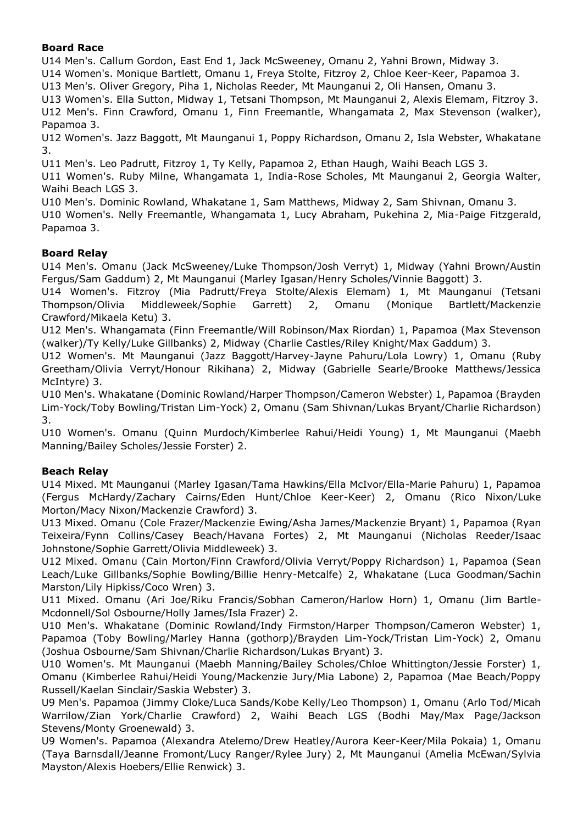## **Board Race**

U14 Men's. Callum Gordon, East End 1, Jack McSweeney, Omanu 2, Yahni Brown, Midway 3.

U14 Women's. Monique Bartlett, Omanu 1, Freya Stolte, Fitzroy 2, Chloe Keer-Keer, Papamoa 3.

U13 Men's. Oliver Gregory, Piha 1, Nicholas Reeder, Mt Maunganui 2, Oli Hansen, Omanu 3.

U13 Women's. Ella Sutton, Midway 1, Tetsani Thompson, Mt Maunganui 2, Alexis Elemam, Fitzroy 3. U12 Men's. Finn Crawford, Omanu 1, Finn Freemantle, Whangamata 2, Max Stevenson (walker), Papamoa 3.

U12 Women's. Jazz Baggott, Mt Maunganui 1, Poppy Richardson, Omanu 2, Isla Webster, Whakatane 3.

U11 Men's. Leo Padrutt, Fitzroy 1, Ty Kelly, Papamoa 2, Ethan Haugh, Waihi Beach LGS 3.

U11 Women's. Ruby Milne, Whangamata 1, India-Rose Scholes, Mt Maunganui 2, Georgia Walter, Waihi Beach LGS 3.

U10 Men's. Dominic Rowland, Whakatane 1, Sam Matthews, Midway 2, Sam Shivnan, Omanu 3.

U10 Women's. Nelly Freemantle, Whangamata 1, Lucy Abraham, Pukehina 2, Mia-Paige Fitzgerald, Papamoa 3.

# **Board Relay**

U14 Men's. Omanu (Jack McSweeney/Luke Thompson/Josh Verryt) 1, Midway (Yahni Brown/Austin Fergus/Sam Gaddum) 2, Mt Maunganui (Marley Igasan/Henry Scholes/Vinnie Baggott) 3.

U14 Women's. Fitzroy (Mia Padrutt/Freya Stolte/Alexis Elemam) 1, Mt Maunganui (Tetsani Thompson/Olivia Middleweek/Sophie Garrett) 2, Omanu (Monique Bartlett/Mackenzie Crawford/Mikaela Ketu) 3.

U12 Men's. Whangamata (Finn Freemantle/Will Robinson/Max Riordan) 1, Papamoa (Max Stevenson (walker)/Ty Kelly/Luke Gillbanks) 2, Midway (Charlie Castles/Riley Knight/Max Gaddum) 3.

U12 Women's. Mt Maunganui (Jazz Baggott/Harvey-Jayne Pahuru/Lola Lowry) 1, Omanu (Ruby Greetham/Olivia Verryt/Honour Rikihana) 2, Midway (Gabrielle Searle/Brooke Matthews/Jessica McIntyre) 3.

U10 Men's. Whakatane (Dominic Rowland/Harper Thompson/Cameron Webster) 1, Papamoa (Brayden Lim-Yock/Toby Bowling/Tristan Lim-Yock) 2, Omanu (Sam Shivnan/Lukas Bryant/Charlie Richardson) 3.

U10 Women's. Omanu (Quinn Murdoch/Kimberlee Rahui/Heidi Young) 1, Mt Maunganui (Maebh Manning/Bailey Scholes/Jessie Forster) 2.

# **Beach Relay**

U14 Mixed. Mt Maunganui (Marley Igasan/Tama Hawkins/Ella McIvor/Ella-Marie Pahuru) 1, Papamoa (Fergus McHardy/Zachary Cairns/Eden Hunt/Chloe Keer-Keer) 2, Omanu (Rico Nixon/Luke Morton/Macy Nixon/Mackenzie Crawford) 3.

U13 Mixed. Omanu (Cole Frazer/Mackenzie Ewing/Asha James/Mackenzie Bryant) 1, Papamoa (Ryan Teixeira/Fynn Collins/Casey Beach/Havana Fortes) 2, Mt Maunganui (Nicholas Reeder/Isaac Johnstone/Sophie Garrett/Olivia Middleweek) 3.

U12 Mixed. Omanu (Cain Morton/Finn Crawford/Olivia Verryt/Poppy Richardson) 1, Papamoa (Sean Leach/Luke Gillbanks/Sophie Bowling/Billie Henry-Metcalfe) 2, Whakatane (Luca Goodman/Sachin Marston/Lily Hipkiss/Coco Wren) 3.

U11 Mixed. Omanu (Ari Joe/Riku Francis/Sobhan Cameron/Harlow Horn) 1, Omanu (Jim Bartle-Mcdonnell/Sol Osbourne/Holly James/Isla Frazer) 2.

U10 Men's. Whakatane (Dominic Rowland/Indy Firmston/Harper Thompson/Cameron Webster) 1, Papamoa (Toby Bowling/Marley Hanna (gothorp)/Brayden Lim-Yock/Tristan Lim-Yock) 2, Omanu (Joshua Osbourne/Sam Shivnan/Charlie Richardson/Lukas Bryant) 3.

U10 Women's. Mt Maunganui (Maebh Manning/Bailey Scholes/Chloe Whittington/Jessie Forster) 1, Omanu (Kimberlee Rahui/Heidi Young/Mackenzie Jury/Mia Labone) 2, Papamoa (Mae Beach/Poppy Russell/Kaelan Sinclair/Saskia Webster) 3.

U9 Men's. Papamoa (Jimmy Cloke/Luca Sands/Kobe Kelly/Leo Thompson) 1, Omanu (Arlo Tod/Micah Warrilow/Zian York/Charlie Crawford) 2, Waihi Beach LGS (Bodhi May/Max Page/Jackson Stevens/Monty Groenewald) 3.

U9 Women's. Papamoa (Alexandra Atelemo/Drew Heatley/Aurora Keer-Keer/Mila Pokaia) 1, Omanu (Taya Barnsdall/Jeanne Fromont/Lucy Ranger/Rylee Jury) 2, Mt Maunganui (Amelia McEwan/Sylvia Mayston/Alexis Hoebers/Ellie Renwick) 3.